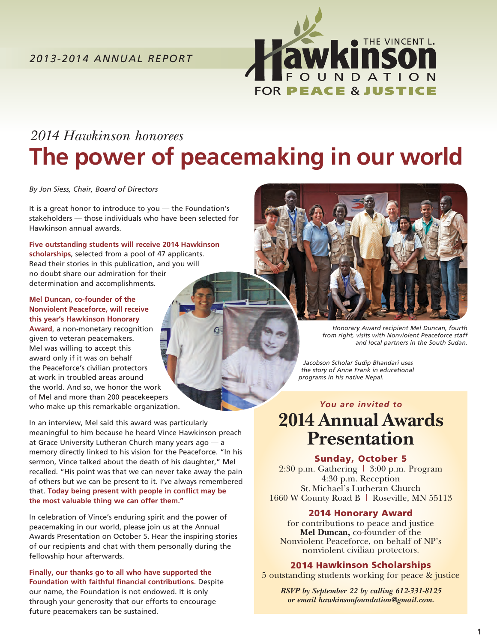

# *2014 Hawkinson honorees*  **The power of peacemaking in our world**

*By Jon Siess, Chair, Board of Directors*

It is a great honor to introduce to you — the Foundation's stakeholders — those individuals who have been selected for Hawkinson annual awards.

**Five outstanding students will receive 2014 Hawkinson scholarships**, selected from a pool of 47 applicants. Read their stories in this publication, and you will no doubt share our admiration for their determination and accomplishments.

**Mel Duncan, co-founder of the Nonviolent Peaceforce, will receive this year's Hawkinson Honorary Award**, a non-monetary recognition given to veteran peacemakers. Mel was willing to accept this award only if it was on behalf the Peaceforce's civilian protectors at work in troubled areas around the world. And so, we honor the work of Mel and more than 200 peacekeepers who make up this remarkable organization.

In an interview, Mel said this award was particularly meaningful to him because he heard Vince Hawkinson preach at Grace University Lutheran Church many years ago — a memory directly linked to his vision for the Peaceforce. "In his sermon, Vince talked about the death of his daughter," Mel recalled. "His point was that we can never take away the pain of others but we can be present to it. I've always remembered that. **Today being present with people in conflict may be the most valuable thing we can offer them."**

In celebration of Vince's enduring spirit and the power of peacemaking in our world, please join us at the Annual Awards Presentation on October 5. Hear the inspiring stories of our recipients and chat with them personally during the fellowship hour afterwards.

**Finally, our thanks go to all who have supported the Foundation with faithful financial contributions.** Despite our name, the Foundation is not endowed. It is only through your generosity that our efforts to encourage future peacemakers can be sustained.



*Honorary Award recipient Mel Duncan, fourth from right, visits with Nonviolent Peaceforce staff and local partners in the South Sudan.*

 *Jacobson Scholar Sudip Bhandari uses the story of Anne Frank in educational programs in his native Nepal.* 

### *You are invited to* **2014 Annual Awards Presentation**

### Sunday, October 5

 $2:30$  p.m. Gathering  $\mid 3:00$  p.m. Program 4:30 p.m. Reception St. Michael's Lutheran Church 1660 W County Road B | Roseville, MN 55113

### 2014 Honorary Award

for contributions to peace and justice **Mel Duncan,** co-founder of the Nonviolent Peaceforce, on behalf of NP's nonviolent civilian protectors.

### 2014 Hawkinson Scholarships

5 outstanding students working for peace & justice

*RSVP by September 22 by calling 612-331-8125 or email hawkinsonfoundation@gmail.com.*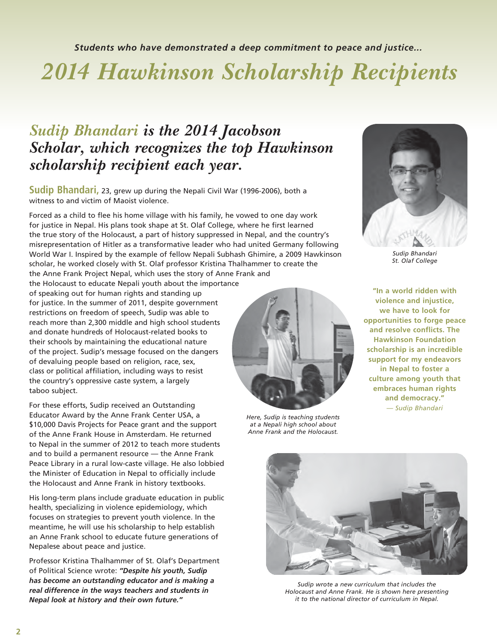*Students who have demonstrated a deep commitment to peace and justice...*

# *2014 Hawkinson Scholarship Recipients*

### *Sudip Bhandari is the 2014 Jacobson Scholar, which recognizes the top Hawkinson scholarship recipient each year.*

**Sudip Bhandari,** 23, grew up during the Nepali Civil War (1996-2006), both a witness to and victim of Maoist violence.

Forced as a child to flee his home village with his family, he vowed to one day work for justice in Nepal. His plans took shape at St. Olaf College, where he first learned the true story of the Holocaust, a part of history suppressed in Nepal, and the country's misrepresentation of Hitler as a transformative leader who had united Germany following World War I. Inspired by the example of fellow Nepali Subhash Ghimire, a 2009 Hawkinson scholar, he worked closely with St. Olaf professor Kristina Thalhammer to create the the Anne Frank Project Nepal, which uses the story of Anne Frank and

the Holocaust to educate Nepali youth about the importance of speaking out for human rights and standing up for justice. In the summer of 2011, despite government restrictions on freedom of speech, Sudip was able to reach more than 2,300 middle and high school students and donate hundreds of Holocaust-related books to their schools by maintaining the educational nature of the project. Sudip's message focused on the dangers of devaluing people based on religion, race, sex, class or political affiliation, including ways to resist the country's oppressive caste system, a largely taboo subject.

For these efforts, Sudip received an Outstanding Educator Award by the Anne Frank Center USA, a \$10,000 Davis Projects for Peace grant and the support of the Anne Frank House in Amsterdam. He returned to Nepal in the summer of 2012 to teach more students and to build a permanent resource — the Anne Frank Peace Library in a rural low-caste village. He also lobbied the Minister of Education in Nepal to officially include the Holocaust and Anne Frank in history textbooks.

His long-term plans include graduate education in public health, specializing in violence epidemiology, which focuses on strategies to prevent youth violence. In the meantime, he will use his scholarship to help establish an Anne Frank school to educate future generations of Nepalese about peace and justice.

Professor Kristina Thalhammer of St. Olaf's Department of Political Science wrote: *"Despite his youth, Sudip has become an outstanding educator and is making a real difference in the ways teachers and students in Nepal look at history and their own future."*



*Sudip Bhandari St. Olaf College*

**"In a world ridden with violence and injustice, we have to look for opportunities to forge peace and resolve conflicts. The Hawkinson Foundation scholarship is an incredible support for my endeavors in Nepal to foster a culture among youth that embraces human rights and democracy."** *— Sudip Bhandari*



*at a Nepali high school about Anne Frank and the Holocaust.*



*Sudip wrote a new curriculum that includes the Holocaust and Anne Frank. He is shown here presenting it to the national director of curriculum in Nepal.*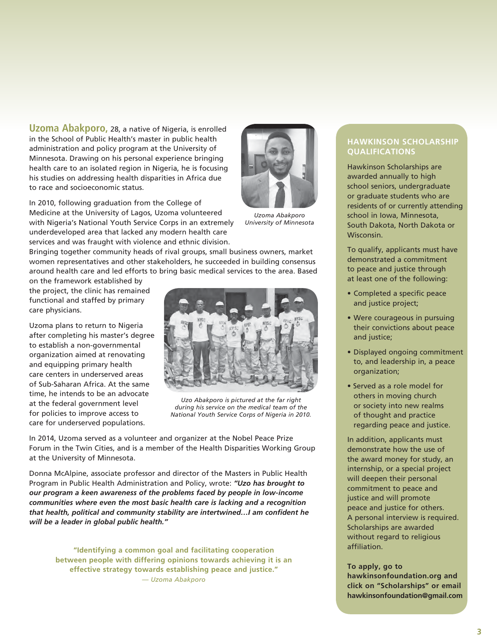**Uzoma Abakporo,** 28, a native of Nigeria, is enrolled in the School of Public Health's master in public health administration and policy program at the University of Minnesota. Drawing on his personal experience bringing health care to an isolated region in Nigeria, he is focusing his studies on addressing health disparities in Africa due to race and socioeconomic status.

In 2010, following graduation from the College of Medicine at the University of Lagos, Uzoma volunteered with Nigeria's National Youth Service Corps in an extremely underdeveloped area that lacked any modern health care services and was fraught with violence and ethnic division.

*Uzoma Abakporo University of Minnesota*

Bringing together community heads of rival groups, small business owners, market women representatives and other stakeholders, he succeeded in building consensus around health care and led efforts to bring basic medical services to the area. Based

on the framework established by the project, the clinic has remained functional and staffed by primary care physicians.

Uzoma plans to return to Nigeria after completing his master's degree to establish a non-governmental organization aimed at renovating and equipping primary health care centers in underserved areas of Sub-Saharan Africa. At the same time, he intends to be an advocate at the federal government level for policies to improve access to care for underserved populations.



*Uzo Abakporo is pictured at the far right during his service on the medical team of the National Youth Service Corps of Nigeria in 2010.* 

In 2014, Uzoma served as a volunteer and organizer at the Nobel Peace Prize Forum in the Twin Cities, and is a member of the Health Disparities Working Group at the University of Minnesota.

Donna McAlpine, associate professor and director of the Masters in Public Health Program in Public Health Administration and Policy, wrote: *"Uzo has brought to our program a keen awareness of the problems faced by people in low-income communities where even the most basic health care is lacking and a recognition that health, political and community stability are intertwined…I am confident he will be a leader in global public health."*

**"Identifying a common goal and facilitating cooperation between people with differing opinions towards achieving it is an effective strategy towards establishing peace and justice."** *— Uzoma Abakporo*

### **HAWKINSON SCHOLARSHIP QUALIFICATIONS**

Hawkinson Scholarships are awarded annually to high school seniors, undergraduate or graduate students who are residents of or currently attending school in Iowa, Minnesota, South Dakota, North Dakota or Wisconsin.

To qualify, applicants must have demonstrated a commitment to peace and justice through at least one of the following:

- Completed a specific peace and justice project;
- Were courageous in pursuing their convictions about peace and justice;
- Displayed ongoing commitment to, and leadership in, a peace organization;
- Served as a role model for others in moving church or society into new realms of thought and practice regarding peace and justice.

In addition, applicants must demonstrate how the use of the award money for study, an internship, or a special project will deepen their personal commitment to peace and justice and will promote peace and justice for others. A personal interview is required. Scholarships are awarded without regard to religious affiliation.

#### **To apply, go to**

**hawkinsonfoundation.org and click on "Scholarships" or email hawkinsonfoundation@gmail.com**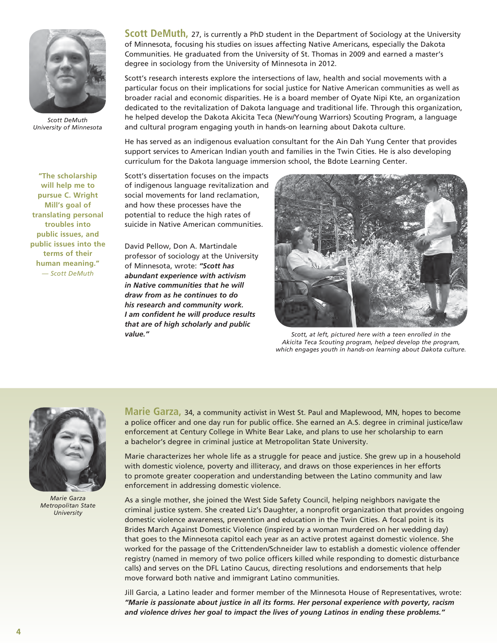

*Scott DeMuth University of Minnesota*

**"The scholarship will help me to pursue C. Wright Mill's goal of translating personal troubles into public issues, and public issues into the terms of their human meaning."**  *— Scott DeMuth*

**Scott DeMuth, 27, is currently a PhD student in the Department of Sociology at the University** of Minnesota, focusing his studies on issues affecting Native Americans, especially the Dakota Communities. He graduated from the University of St. Thomas in 2009 and earned a master's degree in sociology from the University of Minnesota in 2012.

Scott's research interests explore the intersections of law, health and social movements with a particular focus on their implications for social justice for Native American communities as well as broader racial and economic disparities. He is a board member of Oyate Nipi Kte, an organization dedicated to the revitalization of Dakota language and traditional life. Through this organization, he helped develop the Dakota Akicita Teca (New/Young Warriors) Scouting Program, a language and cultural program engaging youth in hands-on learning about Dakota culture.

He has served as an indigenous evaluation consultant for the Ain Dah Yung Center that provides support services to American Indian youth and families in the Twin Cities. He is also developing curriculum for the Dakota language immersion school, the Bdote Learning Center.

Scott's dissertation focuses on the impacts of indigenous language revitalization and social movements for land reclamation, and how these processes have the potential to reduce the high rates of suicide in Native American communities.

David Pellow, Don A. Martindale professor of sociology at the University of Minnesota, wrote: *"Scott has abundant experience with activism in Native communities that he will draw from as he continues to do his research and community work. I am confident he will produce results that are of high scholarly and public value."*



*Scott, at left, pictured here with a teen enrolled in the Akicita Teca Scouting program, helped develop the program, which engages youth in hands-on learning about Dakota culture.*



*Marie Garza Metropolitan State University*

**Marie Garza,** 34, a community activist in West St. Paul and Maplewood, MN, hopes to become a police officer and one day run for public office. She earned an A.S. degree in criminal justice/law enforcement at Century College in White Bear Lake, and plans to use her scholarship to earn a bachelor's degree in criminal justice at Metropolitan State University.

Marie characterizes her whole life as a struggle for peace and justice. She grew up in a household with domestic violence, poverty and illiteracy, and draws on those experiences in her efforts to promote greater cooperation and understanding between the Latino community and law enforcement in addressing domestic violence.

As a single mother, she joined the West Side Safety Council, helping neighbors navigate the criminal justice system. She created Liz's Daughter, a nonprofit organization that provides ongoing domestic violence awareness, prevention and education in the Twin Cities. A focal point is its Brides March Against Domestic Violence (inspired by a woman murdered on her wedding day) that goes to the Minnesota capitol each year as an active protest against domestic violence. She worked for the passage of the Crittenden/Schneider law to establish a domestic violence offender registry (named in memory of two police officers killed while responding to domestic disturbance calls) and serves on the DFL Latino Caucus, directing resolutions and endorsements that help move forward both native and immigrant Latino communities.

Jill Garcia, a Latino leader and former member of the Minnesota House of Representatives, wrote: *"Marie is passionate about justice in all its forms. Her personal experience with poverty, racism and violence drives her goal to impact the lives of young Latinos in ending these problems."*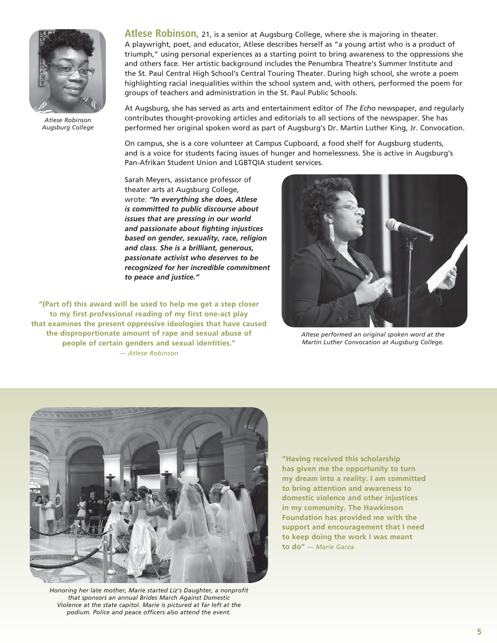

*Atlese Robinson Augsburg College*

**Atlese Robinson,** 21, is a senior at Augsburg College, where she is majoring in theater. A playwright, poet, and educator, Atlese describes herself as "a young artist who is a product of triumph," using personal experiences as a starting point to bring awareness to the oppressions she and others face. Her artistic background includes the Penumbra Theatre's Summer Institute and the St. Paul Central High School's Central Touring Theater. During high school, she wrote a poem highlighting racial inequalities within the school system and, with others, performed the poem for groups of teachers and administration in the St. Paul Public Schools.

At Augsburg, she has served as arts and entertainment editor of *The Echo* newspaper, and regularly contributes thought-provoking articles and editorials to all sections of the newspaper. She has performed her original spoken word as part of Augsburg's Dr. Martin Luther King, Jr. Convocation.

On campus, she is a core volunteer at Campus Cupboard, a food shelf for Augsburg students, and is a voice for students facing issues of hunger and homelessness. She is active in Augsburg's Pan-Afrikan Student Union and LGBTQIA student services.

Sarah Meyers, assistance professor of theater arts at Augsburg College, wrote: *"In everything she does, Atlese is committed to public discourse about issues that are pressing in our world and passionate about fighting injustices based on gender, sexuality, race, religion and class. She is a brilliant, generous, passionate activist who deserves to be recognized for her incredible commitment to peace and justice."*

**"(Part of) this award will be used to help me get a step closer to my first professional reading of my first one-act play that examines the present oppressive ideologies that have caused the disproportionate amount of rape and sexual abuse of people of certain genders and sexual identities."**  *— Atlese Robinson*



*Altese performed an original spoken word at the Martin Luther Convocation at Augsburg College.*



*Honoring her late mother, Marie started Liz's Daughter, a nonprofit that sponsors an annual Brides March Against Domestic Violence at the state capitol. Marie is pictured at far left at the podium. Police and peace officers also attend the event.*

**"Having received this scholarship has given me the opportunity to turn my dream into a reality. I am committed to bring attention and awareness to domestic violence and other injustices in my community. The Hawkinson Foundation has provided me with the support and encouragement that I need to keep doing the work I was meant to do"** *— Marie Garza*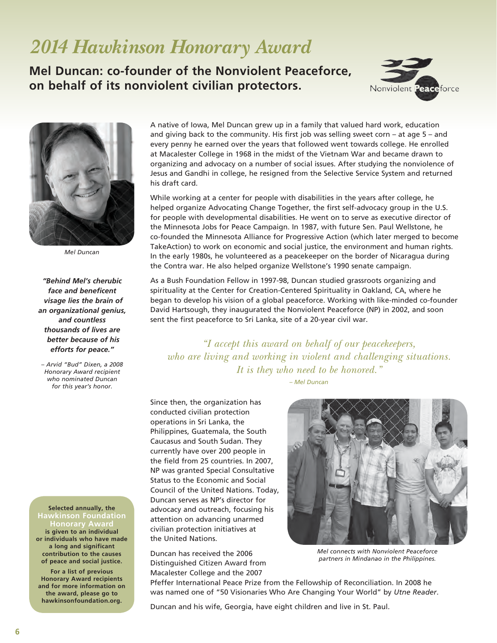## *2014 Hawkinson Honorary Award*

**Mel Duncan: co-founder of the Nonviolent Peaceforce, on behalf of its nonviolent civilian protectors.**





*Mel Duncan*

*"Behind Mel's cherubic face and beneficent visage lies the brain of an organizational genius, and countless thousands of lives are better because of his efforts for peace."* 

*– Arvid "Bud" Dixen, a 2008 Honorary Award recipient who nominated Duncan for this year's honor.*

**Selected annually, the Hawkinson Foundation lonorar**y **is given to an individual or individuals who have made a long and significant contribution to the causes of peace and social justice.** 

**For a list of previous Honorary Award recipients and for more information on the award, please go to hawkinsonfoundation.org.**

A native of Iowa, Mel Duncan grew up in a family that valued hard work, education and giving back to the community. His first job was selling sweet corn – at age 5 – and every penny he earned over the years that followed went towards college. He enrolled at Macalester College in 1968 in the midst of the Vietnam War and became drawn to organizing and advocacy on a number of social issues. After studying the nonviolence of Jesus and Gandhi in college, he resigned from the Selective Service System and returned his draft card.

While working at a center for people with disabilities in the years after college, he helped organize Advocating Change Together, the first self-advocacy group in the U.S. for people with developmental disabilities. He went on to serve as executive director of the Minnesota Jobs for Peace Campaign. In 1987, with future Sen. Paul Wellstone, he co-founded the Minnesota Alliance for Progressive Action (which later merged to become TakeAction) to work on economic and social justice, the environment and human rights. In the early 1980s, he volunteered as a peacekeeper on the border of Nicaragua during the Contra war. He also helped organize Wellstone's 1990 senate campaign.

As a Bush Foundation Fellow in 1997-98, Duncan studied grassroots organizing and spirituality at the Center for Creation-Centered Spirituality in Oakland, CA, where he began to develop his vision of a global peaceforce. Working with like-minded co-founder David Hartsough, they inaugurated the Nonviolent Peaceforce (NP) in 2002, and soon sent the first peaceforce to Sri Lanka, site of a 20-year civil war.

*"I accept this award on behalf of our peacekeepers, who are living and working in violent and challenging situations. It is they who need to be honored."*

*– Mel Duncan*

Since then, the organization has conducted civilian protection operations in Sri Lanka, the Philippines, Guatemala, the South Caucasus and South Sudan. They currently have over 200 people in the field from 25 countries. In 2007, NP was granted Special Consultative Status to the Economic and Social Council of the United Nations. Today, Duncan serves as NP's director for advocacy and outreach, focusing his attention on advancing unarmed civilian protection initiatives at the United Nations.

Duncan has received the 2006 Distinguished Citizen Award from Macalester College and the 2007



*Mel connects with Nonviolent Peaceforce partners in Mindanao in the Philippines.*

Pfeffer International Peace Prize from the Fellowship of Reconciliation. In 2008 he was named one of "50 Visionaries Who Are Changing Your World" by *Utne Reader*.

Duncan and his wife, Georgia, have eight children and live in St. Paul.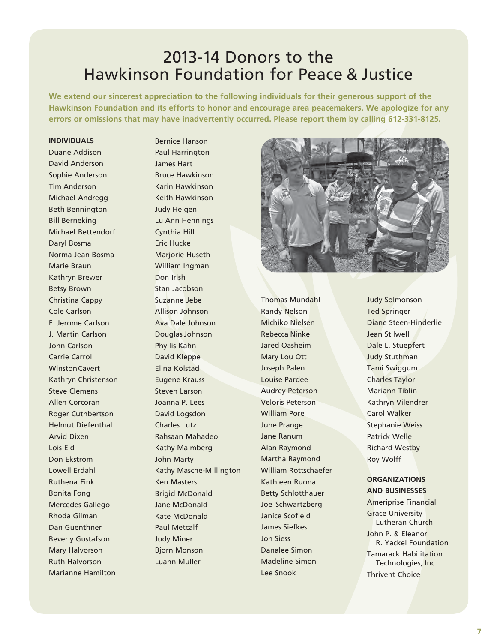### 2013-14 Donors to the Hawkinson Foundation for Peace & Justice

**We extend our sincerest appreciation to the following individuals for their generous support of the Hawkinson Foundation and its efforts to honor and encourage area peacemakers. We apologize for any errors or omissions that may have inadvertently occurred. Please report them by calling 612-331-8125.**

#### **INDIVIDUALS**

Duane Addison David Anderson Sophie Anderson Tim Anderson Michael Andregg Beth Bennington Bill Berneking Michael Bettendorf Daryl Bosma Norma Jean Bosma Marie Braun Kathryn Brewer Betsy Brown Christina Cappy Cole Carlson E. Jerome Carlson J. Martin Carlson John Carlson Carrie Carroll WinstonCavert Kathryn Christenson Steve Clemens Allen Corcoran Roger Cuthbertson Helmut Diefenthal Arvid Dixen Lois Eid Don Ekstrom Lowell Erdahl Ruthena Fink Bonita Fong Mercedes Gallego Rhoda Gilman Dan Guenthner Beverly Gustafson Mary Halvorson Ruth Halvorson Marianne Hamilton

Bernice Hanson Paul Harrington James Hart Bruce Hawkinson Karin Hawkinson Keith Hawkinson Judy Helgen Lu Ann Hennings Cynthia Hill Eric Hucke Marjorie Huseth William Ingman Don Irish Stan Jacobson Suzanne Jebe Allison Johnson Ava Dale Johnson Douglas Johnson Phyllis Kahn David Kleppe Elina Kolstad Eugene Krauss Steven Larson Joanna P. Lees David Logsdon Charles Lutz Rahsaan Mahadeo Kathy Malmberg John Marty Kathy Masche-Millington Ken Masters Brigid McDonald Jane McDonald Kate McDonald Paul Metcalf Judy Miner Bjorn Monson Luann Muller



Thomas Mundahl Randy Nelson Michiko Nielsen Rebecca Ninke Jared Oasheim Mary Lou Ott Joseph Palen Louise Pardee Audrey Peterson Veloris Peterson William Pore June Prange Jane Ranum Alan Raymond Martha Raymond William Rottschaefer Kathleen Ruona Betty Schlotthauer Joe Schwartzberg Janice Scofield James Siefkes Jon Siess Danalee Simon Madeline Simon Lee Snook

Judy Solmonson Ted Springer Diane Steen-Hinderlie Jean Stilwell Dale L. Stuepfert Judy Stuthman Tami Swiggum Charles Taylor Mariann Tiblin Kathryn Vilendrer Carol Walker Stephanie Weiss Patrick Welle Richard Westby Roy Wolff

### **ORGANIZATIONS AND BUSINESSES**

Ameriprise Financial Grace University Lutheran Church John P. & Eleanor R. Yackel Foundation Tamarack Habilitation Technologies, Inc. Thrivent Choice